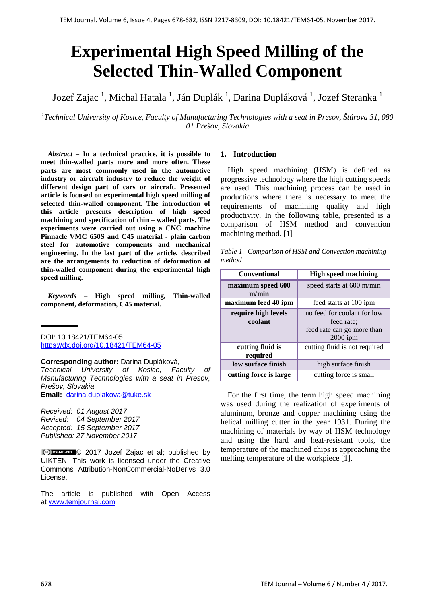# **Experimental High Speed Milling of the Selected Thin-Walled Component**

Jozef Zajac <sup>1</sup>, Michal Hatala <sup>1</sup>, Ján Duplák <sup>1</sup>, Darina Dupláková <sup>1</sup>, Jozef Steranka <sup>1</sup>

*1 Technical University of Kosice, Faculty of Manufacturing Technologies with a seat in Presov, Štúrova 31, 080 01 Prešov, Slovakia*

*Abstract –* **In a technical practice, it is possible to meet thin-walled parts more and more often. These parts are most commonly used in the automotive industry or aircraft industry to reduce the weight of different design part of cars or aircraft. Presented article is focused on experimental high speed milling of selected thin-walled component. The introduction of this article presents description of high speed machining and specification of thin – walled parts. The experiments were carried out using a CNC machine Pinnacle VMC 650S and C45 material - plain carbon steel for automotive components and mechanical engineering. In the last part of the article, described are the arrangements to reduction of deformation of thin-walled component during the experimental high speed milling.**

*Keywords –* **High speed milling, Thin-walled component, deformation, C45 material.**

DOI: 10.18421/TEM64-05 <https://dx.doi.org/10.18421/TEM64-05>

**Corresponding author:** Darina Dupláková,

*Technical University of Kosice, Faculty of Manufacturing Technologies with a seat in Presov, Prešov, Slovakia*

**Email:** darina.duplakova@tuke.sk

*Received: 01 August 2017 Revised: 04 September 2017 Accepted: 15 September 2017 Published: 27 November 2017*

© 2017 Jozef Zajac et al; published by UIKTEN. This work is licensed under the Creative Commons Attribution-NonCommercial-NoDerivs 3.0 License.

The article is published with Open Access at [www.temjournal.com](http://www.temjournal.com/)

## **1. Introduction**

High speed machining (HSM) is defined as progressive technology where the high cutting speeds are used. This machining process can be used in productions where there is necessary to meet the requirements of machining quality and high productivity. In the following table, presented is a comparison of HSM method and convention machining method. [1]

|        | Table 1. Comparison of HSM and Convection machining |
|--------|-----------------------------------------------------|
| method |                                                     |
|        |                                                     |

| <b>Conventional</b>            | <b>High speed machining</b>                                                           |
|--------------------------------|---------------------------------------------------------------------------------------|
| maximum speed 600<br>m/min     | speed starts at 600 m/min                                                             |
| maximum feed 40 ipm            | feed starts at 100 ipm                                                                |
| require high levels<br>coolant | no feed for coolant for low<br>feed rate:<br>feed rate can go more than<br>$2000$ ipm |
| cutting fluid is<br>required   | cutting fluid is not required                                                         |
| low surface finish             | high surface finish                                                                   |
| cutting force is large         | cutting force is small                                                                |

For the first time, the term high speed machining was used during the realization of experiments of aluminum, bronze and copper machining using the helical milling cutter in the year 1931. During the machining of materials by way of HSM technology and using the hard and heat-resistant tools, the temperature of the machined chips is approaching the melting temperature of the workpiece [1].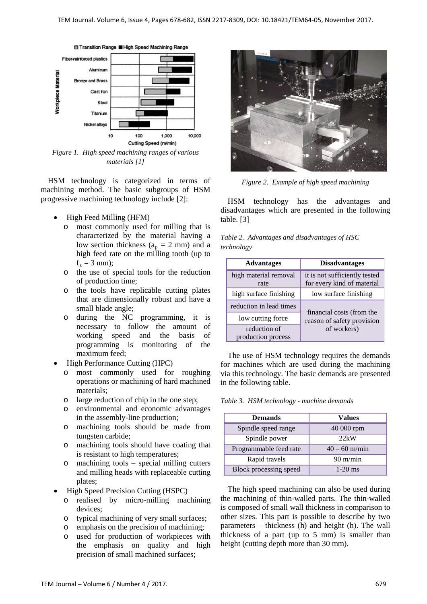

*Figure 1. High speed machining ranges of various materials [1]*

HSM technology is categorized in terms of machining method. The basic subgroups of HSM progressive machining technology include [2]:

- High Feed Milling (HFM)
	- o most commonly used for milling that is characterized by the material having a low section thickness ( $a_p = 2$  mm) and a high feed rate on the milling tooth (up to  $f_z = 3$  mm);
	- o the use of special tools for the reduction of production time;
	- o the tools have replicable cutting plates that are dimensionally robust and have a small blade angle;
	- o during the NC programming, it is necessary to follow the amount working speed and the basis of programming is monitoring of the maximum feed;
- High Performance Cutting (HPC)
	- o most commonly used for roughing operations or machining of hard machined materials;
	- o large reduction of chip in the one step;
	- o environmental and economic advantages in the assembly-line production;
	- o machining tools should be made from tungsten carbide;
	- o machining tools should have coating that is resistant to high temperatures;
	- o machining tools special milling cutters and milling heads with replaceable cutting plates;
- High Speed Precision Cutting (HSPC)
	- o realised by micro-milling machining devices;
	- o typical machining of very small surfaces;
	- o emphasis on the precision of machining;
	- o used for production of workpieces with the emphasis on quality and high precision of small machined surfaces;



*Figure 2. Example of high speed machining*

HSM technology has the advantages and disadvantages which are presented in the following table. [3]

*Table 2. Advantages and disadvantages of HSC technology*

| <b>Advantages</b>                  | <b>Disadvantages</b>                                        |  |
|------------------------------------|-------------------------------------------------------------|--|
| high material removal<br>rate      | it is not sufficiently tested<br>for every kind of material |  |
| high surface finishing             | low surface finishing                                       |  |
| reduction in lead times            |                                                             |  |
| low cutting force                  | financial costs (from the<br>reason of safety provision     |  |
| reduction of<br>production process | of workers)                                                 |  |

The use of HSM technology requires the demands for machines which are used during the machining via this technology. The basic demands are presented in the following table.

*Table 3. HSM technology - machine demands*

| <b>Demands</b>         | <b>Values</b>      |
|------------------------|--------------------|
| Spindle speed range    | 40 000 rpm         |
| Spindle power          | 22kW               |
| Programmable feed rate | $40 - 60$ m/min    |
| Rapid travels          | $90 \text{ m/min}$ |
| Block processing speed | $1-20$ ms          |

The high speed machining can also be used during the machining of thin-walled parts. The thin-walled is composed of small wall thickness in comparison to other sizes. This part is possible to describe by two parameters – thickness (h) and height (h). The wall thickness of a part (up to 5 mm) is smaller than height (cutting depth more than 30 mm).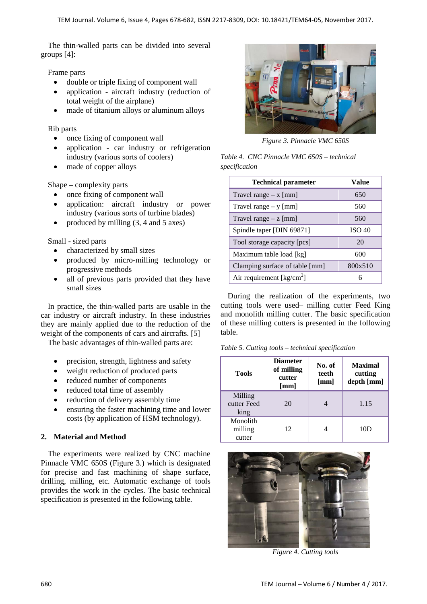The thin-walled parts can be divided into several groups [4]:

Frame parts

- double or triple fixing of component wall
- application aircraft industry (reduction of total weight of the airplane)
- made of titanium alloys or aluminum alloys

Rib parts

- once fixing of component wall
- application car industry or refrigeration industry (various sorts of coolers)
- made of copper alloys

Shape – complexity parts

- once fixing of component wall
- application: aircraft industry or power industry (various sorts of turbine blades)
- produced by milling (3, 4 and 5 axes)

Small - sized parts

- characterized by small sizes
- produced by micro-milling technology or progressive methods
- all of previous parts provided that they have small sizes

In practice, the thin-walled parts are usable in the car industry or aircraft industry. In these industries they are mainly applied due to the reduction of the weight of the components of cars and aircrafts. [5]

The basic advantages of thin-walled parts are:

- precision, strength, lightness and safety
- weight reduction of produced parts
- reduced number of components
- reduced total time of assembly
- reduction of delivery assembly time
- ensuring the faster machining time and lower costs (by application of HSM technology).

# **2. Material and Method**

The experiments were realized by CNC machine Pinnacle VMC 650S (Figure 3.) which is designated for precise and fast machining of shape surface, drilling, milling, etc. Automatic exchange of tools provides the work in the cycles. The basic technical specification is presented in the following table.



*Figure 3. Pinnacle VMC 650S*

*Table 4. CNC Pinnacle VMC 650S – technical specification*

| <b>Technical parameter</b>           | Value         |
|--------------------------------------|---------------|
| Travel range $- x$ [mm]              | 650           |
| Travel range $-$ y [mm]              | 560           |
| Travel range $- z$ [mm]              | 560           |
| Spindle taper [DIN 69871]            | <b>ISO 40</b> |
| Tool storage capacity [pcs]          | 20            |
| Maximum table load [kg]              | 600           |
| Clamping surface of table [mm]       | 800x510       |
| Air requirement [ $\text{kg/cm}^2$ ] |               |

During the realization of the experiments, two cutting tools were used– milling cutter Feed King and monolith milling cutter. The basic specification of these milling cutters is presented in the following table.

|  |  |  | Table 5. Cutting tools - technical specification |  |  |
|--|--|--|--------------------------------------------------|--|--|
|--|--|--|--------------------------------------------------|--|--|

| <b>Tools</b>                   | <b>Diameter</b><br>of milling<br>cutter<br>[mm] | No. of<br>teeth<br>[mm] | <b>Maximal</b><br>cutting<br>depth [mm] |
|--------------------------------|-------------------------------------------------|-------------------------|-----------------------------------------|
| Milling<br>cutter Feed<br>king | 20                                              |                         | 1.15                                    |
| Monolith<br>milling<br>cutter  | 12                                              |                         | 10D                                     |



*Figure 4. Cutting tools*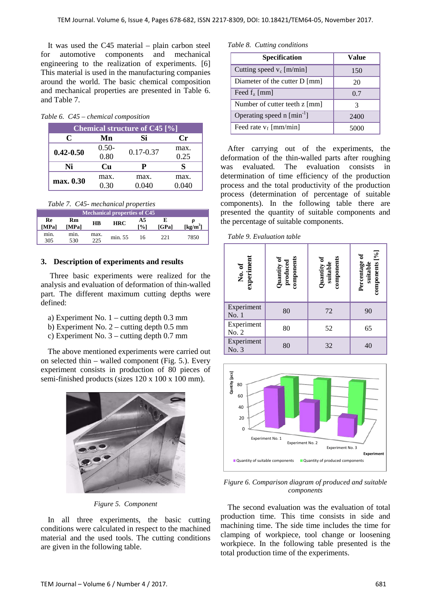It was used the C45 material – plain carbon steel for automotive components and mechanical engineering to the realization of experiments. [6] This material is used in the manufacturing companies around the world. The basic chemical composition and mechanical properties are presented in Table 6. and Table 7.

|  |  |  | Table 6. C45 - chemical composition |
|--|--|--|-------------------------------------|
|--|--|--|-------------------------------------|

| <b>Chemical structure of C45 [%]</b> |         |               |       |  |  |  |
|--------------------------------------|---------|---------------|-------|--|--|--|
| C                                    | Mn      | Si            | Сr    |  |  |  |
|                                      | $0.50-$ | $0.17 - 0.37$ | max.  |  |  |  |
| $0.42 - 0.50$                        | 0.80    |               | 0.25  |  |  |  |
| Ni                                   | Cu      | Р             |       |  |  |  |
| max. 0.30                            | max.    | max.          | max.  |  |  |  |
|                                      | 0.30    | 0.040         | 0.040 |  |  |  |

*Table 7. C45- mechanical properties*

| <b>Mechanical properties of C45</b> |             |             |            |           |       |            |  |  |
|-------------------------------------|-------------|-------------|------------|-----------|-------|------------|--|--|
| Re<br>[MPa]                         | Rm<br>[MPa] | $_{\rm HB}$ | <b>HRC</b> | A5<br>[%] | [GPa] | $[kg/m^3]$ |  |  |
| min.<br>305                         | min.<br>530 | max.<br>225 | min. 55    | 16        | 221   | 7850       |  |  |

## **3. Description of experiments and results**

Three basic experiments were realized for the analysis and evaluation of deformation of thin-walled part. The different maximum cutting depths were defined:

- a) Experiment No. 1 cutting depth 0.3 mm
- b) Experiment No. 2 cutting depth 0.5 mm
- c) Experiment No. 3 cutting depth 0.7 mm

The above mentioned experiments were carried out on selected thin – walled component (Fig. 5.). Every experiment consists in production of 80 pieces of semi-finished products (sizes 120 x 100 x 100 mm).



*Figure 5. Component*

In all three experiments, the basic cutting conditions were calculated in respect to the machined material and the used tools. The cutting conditions are given in the following table.

#### *Table 8. Cutting conditions*

| <b>Specification</b>                  | Value |
|---------------------------------------|-------|
| Cutting speed $v_c$ [m/min]           | 150   |
| Diameter of the cutter D [mm]         | 20    |
| Feed $fz$ [mm]                        | 0.7   |
| Number of cutter teeth z [mm]         | 3     |
| Operating speed $n \text{ [min}^{-1}$ | 2400  |
| Feed rate $v_f$ [mm/min]              |       |

After carrying out of the experiments, the deformation of the thin-walled parts after roughing was evaluated. The evaluation consists in determination of time efficiency of the production process and the total productivity of the production process (determination of percentage of suitable components). In the following table there are presented the quantity of suitable components and the percentage of suitable components.

|  |  |  |  | Table 9. Evaluation table |  |
|--|--|--|--|---------------------------|--|
|--|--|--|--|---------------------------|--|

| experiment<br>No. of | Quantity of<br>produced<br>components | Quantity of<br>suitable<br>components | components [%]<br>Percentage of<br>suitable |  |
|----------------------|---------------------------------------|---------------------------------------|---------------------------------------------|--|
| Experiment<br>No. 1  | 80                                    | 72                                    | 90                                          |  |
| Experiment<br>No. 2  | 80                                    | 52                                    | 65                                          |  |
| Experiment<br>No. 3  | 80                                    | 32                                    | 40                                          |  |



*Figure 6. Comparison diagram of produced and suitable components*

The second evaluation was the evaluation of total production time. This time consists in side and machining time. The side time includes the time for clamping of workpiece, tool change or loosening workpiece. In the following table presented is the total production time of the experiments.